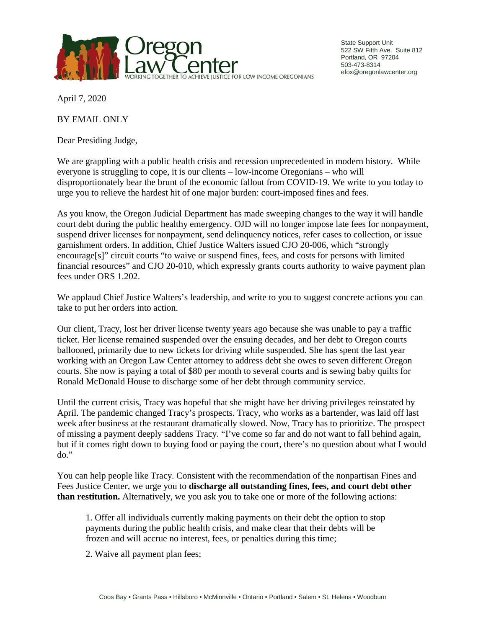

State Support Unit 522 SW Fifth Ave. Suite 812 Portland, OR 97204 503-473-8314 efox@oregonlawcenter.org

April 7, 2020

BY EMAIL ONLY

Dear Presiding Judge,

We are grappling with a public health crisis and recession unprecedented in modern history. While everyone is struggling to cope, it is our clients – low-income Oregonians – who will disproportionately bear the brunt of the economic fallout from COVID-19. We write to you today to urge you to relieve the hardest hit of one major burden: court-imposed fines and fees.

As you know, the Oregon Judicial Department has made sweeping changes to the way it will handle court debt during the public healthy emergency. OJD will no longer impose late fees for nonpayment, suspend driver licenses for nonpayment, send delinquency notices, refer cases to collection, or issue garnishment orders. In addition, Chief Justice Walters issued CJO 20-006, which "strongly encourage[s]" circuit courts "to waive or suspend fines, fees, and costs for persons with limited financial resources" and CJO 20-010, which expressly grants courts authority to waive payment plan fees under ORS 1.202.

We applaud Chief Justice Walters's leadership, and write to you to suggest concrete actions you can take to put her orders into action.

Our client, Tracy, lost her driver license twenty years ago because she was unable to pay a traffic ticket. Her license remained suspended over the ensuing decades, and her debt to Oregon courts ballooned, primarily due to new tickets for driving while suspended. She has spent the last year working with an Oregon Law Center attorney to address debt she owes to seven different Oregon courts. She now is paying a total of \$80 per month to several courts and is sewing baby quilts for Ronald McDonald House to discharge some of her debt through community service.

Until the current crisis, Tracy was hopeful that she might have her driving privileges reinstated by April. The pandemic changed Tracy's prospects. Tracy, who works as a bartender, was laid off last week after business at the restaurant dramatically slowed. Now, Tracy has to prioritize. The prospect of missing a payment deeply saddens Tracy. "I've come so far and do not want to fall behind again, but if it comes right down to buying food or paying the court, there's no question about what I would do."

You can help people like Tracy. Consistent with the recommendation of the nonpartisan Fines and Fees Justice Center, we urge you to **discharge all outstanding fines, fees, and court debt other than restitution.** Alternatively, we you ask you to take one or more of the following actions:

1. Offer all individuals currently making payments on their debt the option to stop payments during the public health crisis, and make clear that their debts will be frozen and will accrue no interest, fees, or penalties during this time;

2. Waive all payment plan fees;